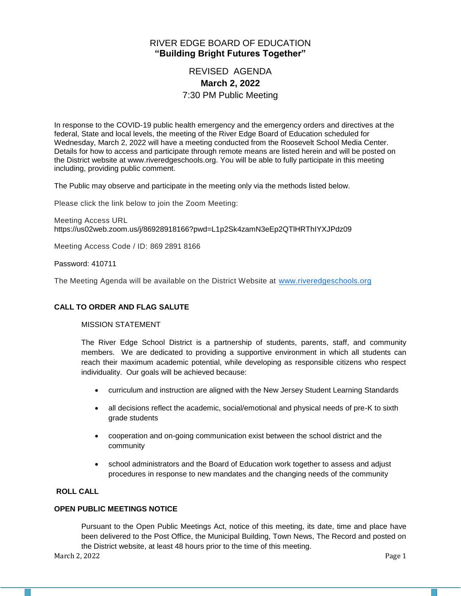## RIVER EDGE BOARD OF EDUCATION **"Building Bright Futures Together"**

# REVISED AGENDA **March 2, 2022** 7:30 PM Public Meeting

In response to the COVID-19 public health emergency and the emergency orders and directives at the federal, State and local levels, the meeting of the River Edge Board of Education scheduled for Wednesday, March 2, 2022 will have a meeting conducted from the Roosevelt School Media Center. Details for how to access and participate through remote means are listed herein and will be posted on the District website at www.riveredgeschools.org. You will be able to fully participate in this meeting including, providing public comment.

The Public may observe and participate in the meeting only via the methods listed below.

Please click the link below to join the Zoom Meeting:

Meeting Access URL https://us02web.zoom.us/j/86928918166?pwd=L1p2Sk4zamN3eEp2QTlHRThIYXJPdz09

Meeting Access Code / ID: 869 2891 8166

Password: 410711

The Meeting Agenda will be available on the District Website at www[.riveredgeschools.org](http://riveredgeschools.org/)

#### **CALL TO ORDER AND FLAG SALUTE**

#### MISSION STATEMENT

The River Edge School District is a partnership of students, parents, staff, and community members. We are dedicated to providing a supportive environment in which all students can reach their maximum academic potential, while developing as responsible citizens who respect individuality. Our goals will be achieved because:

- curriculum and instruction are aligned with the New Jersey Student Learning Standards
- all decisions reflect the academic, social/emotional and physical needs of pre-K to sixth grade students
- cooperation and on-going communication exist between the school district and the community
- school administrators and the Board of Education work together to assess and adjust procedures in response to new mandates and the changing needs of the community

#### **ROLL CALL**

#### **OPEN PUBLIC MEETINGS NOTICE**

Pursuant to the Open Public Meetings Act, notice of this meeting, its date, time and place have been delivered to the Post Office, the Municipal Building, Town News, The Record and posted on the District website, at least 48 hours prior to the time of this meeting.

March 2, 2022 Page 1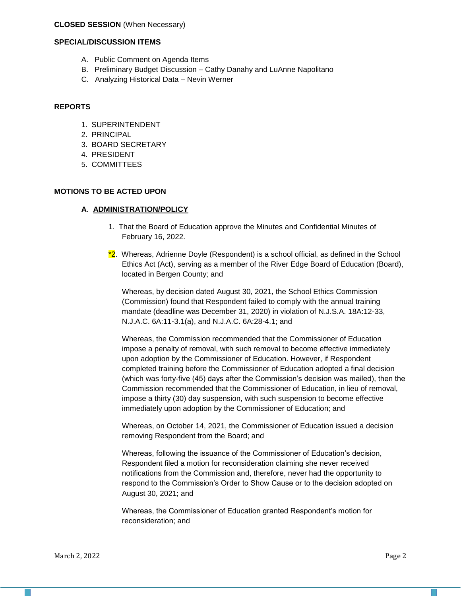#### **CLOSED SESSION** (When Necessary)

#### **SPECIAL/DISCUSSION ITEMS**

- A. Public Comment on Agenda Items
- B. Preliminary Budget Discussion Cathy Danahy and LuAnne Napolitano
- C. Analyzing Historical Data Nevin Werner

#### **REPORTS**

- 1. SUPERINTENDENT
- 2. PRINCIPAL
- 3. BOARD SECRETARY
- 4. PRESIDENT
- 5. COMMITTEES

#### **MOTIONS TO BE ACTED UPON**

#### **A**. **ADMINISTRATION/POLICY**

- 1. That the Board of Education approve the Minutes and Confidential Minutes of February 16, 2022.
- $*2$ . Whereas, Adrienne Doyle (Respondent) is a school official, as defined in the School Ethics Act (Act), serving as a member of the River Edge Board of Education (Board), located in Bergen County; and

Whereas, by decision dated August 30, 2021, the School Ethics Commission (Commission) found that Respondent failed to comply with the annual training mandate (deadline was December 31, 2020) in violation of N.J.S.A. 18A:12-33, N.J.A.C. 6A:11-3.1(a), and N.J.A.C. 6A:28-4.1; and

Whereas, the Commission recommended that the Commissioner of Education impose a penalty of removal, with such removal to become effective immediately upon adoption by the Commissioner of Education. However, if Respondent completed training before the Commissioner of Education adopted a final decision (which was forty-five (45) days after the Commission's decision was mailed), then the Commission recommended that the Commissioner of Education, in lieu of removal, impose a thirty (30) day suspension, with such suspension to become effective immediately upon adoption by the Commissioner of Education; and

Whereas, on October 14, 2021, the Commissioner of Education issued a decision removing Respondent from the Board; and

Whereas, following the issuance of the Commissioner of Education's decision, Respondent filed a motion for reconsideration claiming she never received notifications from the Commission and, therefore, never had the opportunity to respond to the Commission's Order to Show Cause or to the decision adopted on August 30, 2021; and

Whereas, the Commissioner of Education granted Respondent's motion for reconsideration; and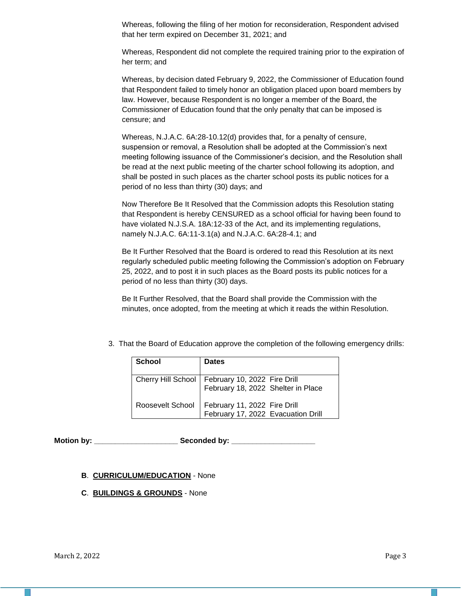Whereas, following the filing of her motion for reconsideration, Respondent advised that her term expired on December 31, 2021; and

Whereas, Respondent did not complete the required training prior to the expiration of her term; and

Whereas, by decision dated February 9, 2022, the Commissioner of Education found that Respondent failed to timely honor an obligation placed upon board members by law. However, because Respondent is no longer a member of the Board, the Commissioner of Education found that the only penalty that can be imposed is censure; and

Whereas, N.J.A.C. 6A:28-10.12(d) provides that, for a penalty of censure, suspension or removal, a Resolution shall be adopted at the Commission's next meeting following issuance of the Commissioner's decision, and the Resolution shall be read at the next public meeting of the charter school following its adoption, and shall be posted in such places as the charter school posts its public notices for a period of no less than thirty (30) days; and

Now Therefore Be It Resolved that the Commission adopts this Resolution stating that Respondent is hereby CENSURED as a school official for having been found to have violated N.J.S.A. 18A:12-33 of the Act, and its implementing regulations, namely N.J.A.C. 6A:11-3.1(a) and N.J.A.C. 6A:28-4.1; and

Be It Further Resolved that the Board is ordered to read this Resolution at its next regularly scheduled public meeting following the Commission's adoption on February 25, 2022, and to post it in such places as the Board posts its public notices for a period of no less than thirty (30) days.

Be It Further Resolved, that the Board shall provide the Commission with the minutes, once adopted, from the meeting at which it reads the within Resolution.

3. That the Board of Education approve the completion of the following emergency drills:

| <b>School</b>    | <b>Dates</b>                                                                              |
|------------------|-------------------------------------------------------------------------------------------|
|                  | Cherry Hill School   February 10, 2022 Fire Drill<br>  February 18, 2022 Shelter in Place |
| Roosevelt School | February 11, 2022 Fire Drill<br>February 17, 2022 Evacuation Drill                        |

Motion by: **Example 20 Seconded by:** Seconded by:

#### **B**. **CURRICULUM/EDUCATION** - None

**C**. **BUILDINGS & GROUNDS** - None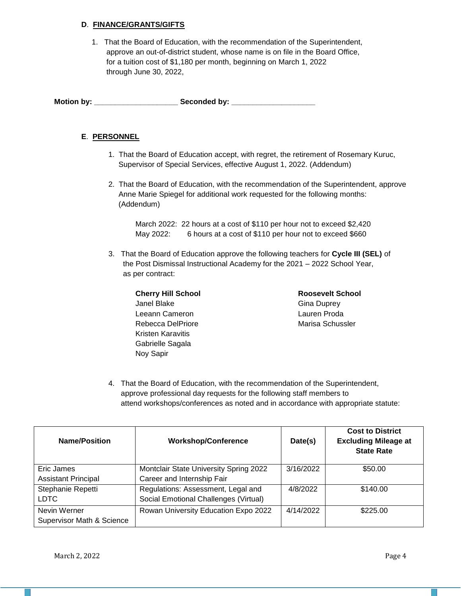### **D**. **FINANCE/GRANTS/GIFTS**

 1. That the Board of Education, with the recommendation of the Superintendent, approve an out-of-district student, whose name is on file in the Board Office, for a tuition cost of \$1,180 per month, beginning on March 1, 2022 through June 30, 2022,

**Motion by: \_\_\_\_\_\_\_\_\_\_\_\_\_\_\_\_\_\_\_\_ Seconded by: \_\_\_\_\_\_\_\_\_\_\_\_\_\_\_\_\_\_\_\_**

### **E**. **PERSONNEL**

- 1. That the Board of Education accept, with regret, the retirement of Rosemary Kuruc, Supervisor of Special Services, effective August 1, 2022. (Addendum)
- 2. That the Board of Education, with the recommendation of the Superintendent, approve Anne Marie Spiegel for additional work requested for the following months: (Addendum)

March 2022: 22 hours at a cost of \$110 per hour not to exceed \$2,420 May 2022: 6 hours at a cost of \$110 per hour not to exceed \$660

 3. That the Board of Education approve the following teachers for **Cycle III (SEL)** of the Post Dismissal Instructional Academy for the 2021 – 2022 School Year, as per contract:

| <b>Roosevelt School</b> |
|-------------------------|
| <b>Gina Duprey</b>      |
| Lauren Proda            |
| Marisa Schussler        |
|                         |
|                         |
|                         |
|                         |

4. That the Board of Education, with the recommendation of the Superintendent, approve professional day requests for the following staff members to attend workshops/conferences as noted and in accordance with appropriate statute:

| <b>Name/Position</b>                 | <b>Workshop/Conference</b>             | Date(s)   | <b>Cost to District</b><br><b>Excluding Mileage at</b><br><b>State Rate</b> |
|--------------------------------------|----------------------------------------|-----------|-----------------------------------------------------------------------------|
| Eric James                           | Montclair State University Spring 2022 | 3/16/2022 | \$50.00                                                                     |
| <b>Assistant Principal</b>           | Career and Internship Fair             |           |                                                                             |
| Stephanie Repetti                    | Regulations: Assessment, Legal and     | 4/8/2022  | \$140.00                                                                    |
| <b>LDTC</b>                          | Social Emotional Challenges (Virtual)  |           |                                                                             |
| Nevin Werner                         | Rowan University Education Expo 2022   | 4/14/2022 | \$225.00                                                                    |
| <b>Supervisor Math &amp; Science</b> |                                        |           |                                                                             |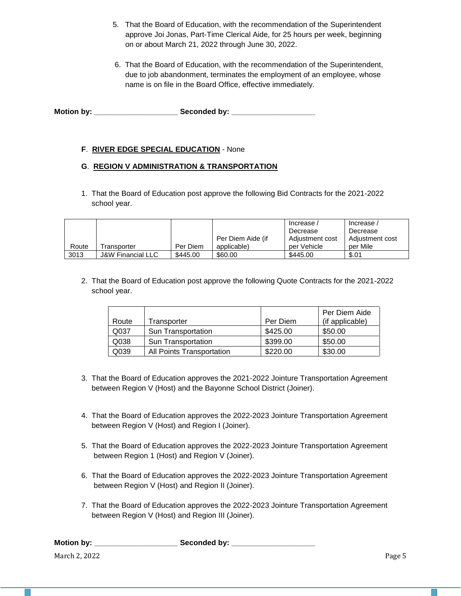- 5. That the Board of Education, with the recommendation of the Superintendent approve Joi Jonas, Part-Time Clerical Aide, for 25 hours per week, beginning on or about March 21, 2022 through June 30, 2022.
- 6. That the Board of Education, with the recommendation of the Superintendent, due to job abandonment, terminates the employment of an employee, whose name is on file in the Board Office, effective immediately.

**Motion by: \_\_\_\_\_\_\_\_\_\_\_\_\_\_\_\_\_\_\_\_ Seconded by: \_\_\_\_\_\_\_\_\_\_\_\_\_\_\_\_\_\_\_\_**

## **F**. **RIVER EDGE SPECIAL EDUCATION** - None

### **G**. **REGION V ADMINISTRATION & TRANSPORTATION**

1. That the Board of Education post approve the following Bid Contracts for the 2021-2022 school year.

|       |                              |          |                   | Increase /      | Increase /      |
|-------|------------------------------|----------|-------------------|-----------------|-----------------|
|       |                              |          |                   | Decrease        | Decrease        |
|       |                              |          | Per Diem Aide (if | Adiustment cost | Adiustment cost |
| Route | Fransporter                  | Per Diem | applicable)       | per Vehicle     | per Mile        |
| 3013  | <b>J&amp;W Financial LLC</b> | \$445.00 | \$60.00           | \$445.00        | \$.01           |

2. That the Board of Education post approve the following Quote Contracts for the 2021-2022 school year.

| Route | Transporter               | Per Diem | Per Diem Aide<br>(if applicable) |
|-------|---------------------------|----------|----------------------------------|
| Q037  | Sun Transportation        | \$425.00 | \$50.00                          |
| Q038  | <b>Sun Transportation</b> | \$399.00 | \$50.00                          |
| Q039  | All Points Transportation | \$220.00 | \$30.00                          |

- 3. That the Board of Education approves the 2021-2022 Jointure Transportation Agreement between Region V (Host) and the Bayonne School District (Joiner).
- 4. That the Board of Education approves the 2022-2023 Jointure Transportation Agreement between Region V (Host) and Region I (Joiner).
- 5. That the Board of Education approves the 2022-2023 Jointure Transportation Agreement between Region 1 (Host) and Region V (Joiner).
- 6. That the Board of Education approves the 2022-2023 Jointure Transportation Agreement between Region V (Host) and Region II (Joiner).
- 7. That the Board of Education approves the 2022-2023 Jointure Transportation Agreement between Region V (Host) and Region III (Joiner).

| <b>Motion by:</b> | Seconded by: |        |
|-------------------|--------------|--------|
| March 2, 2022     |              | Page 5 |